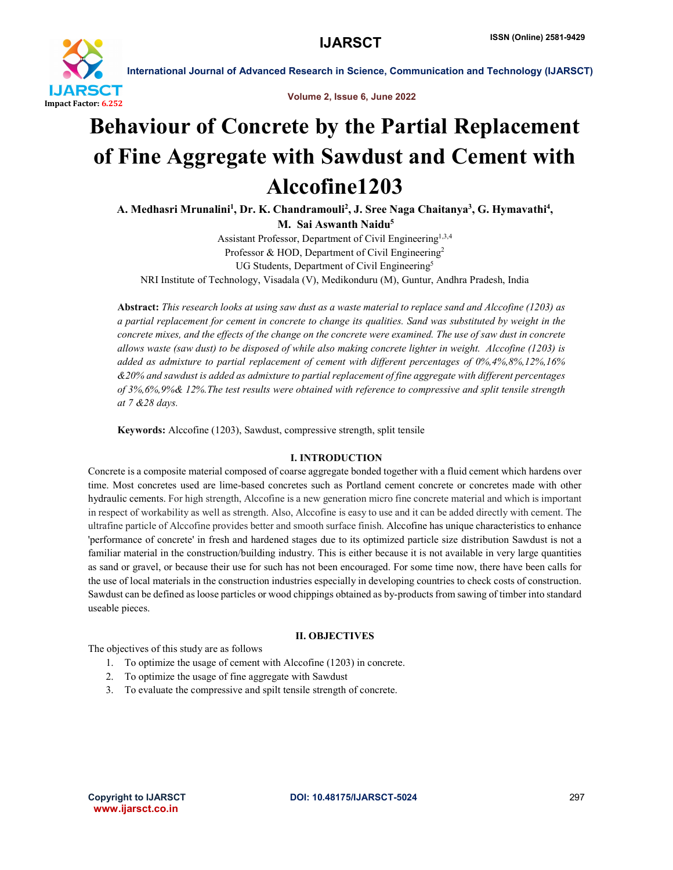

International Journal of Advanced Research in Science, Communication and Technology (IJARSCT)

Volume 2, Issue 6, June 2022

# Behaviour of Concrete by the Partial Replacement of Fine Aggregate with Sawdust and Cement with Alccofine1203

A. Medhasri Mrunalini<sup>1</sup>, Dr. K. Chandramouli<sup>2</sup>, J. Sree Naga Chaitanya<sup>3</sup>, G. Hymavathi<sup>4</sup>, M. Sai Aswanth Naidu<sup>5</sup>

Assistant Professor, Department of Civil Engineering<sup>1,3,4</sup> Professor & HOD, Department of Civil Engineering<sup>2</sup> UG Students, Department of Civil Engineering<sup>5</sup> NRI Institute of Technology, Visadala (V), Medikonduru (M), Guntur, Andhra Pradesh, India

Abstract: *This research looks at using saw dust as a waste material to replace sand and Alccofine (1203) as a partial replacement for cement in concrete to change its qualities. Sand was substituted by weight in the concrete mixes, and the effects of the change on the concrete were examined. The use of saw dust in concrete allows waste (saw dust) to be disposed of while also making concrete lighter in weight. Alccofine (1203) is added as admixture to partial replacement of cement with different percentages of 0%,4%,8%,12%,16% &20% and sawdust is added as admixture to partial replacement of fine aggregate with different percentages of 3%,6%,9%& 12%.The test results were obtained with reference to compressive and split tensile strength at 7 &28 days.*

Keywords: Alccofine (1203), Sawdust, compressive strength, split tensile

### I. INTRODUCTION

Concrete is a composite material composed of coarse aggregate bonded together with a fluid cement which hardens over time. Most concretes used are lime-based concretes such as Portland cement concrete or concretes made with other hydraulic cements. For high strength, Alccofine is a new generation micro fine concrete material and which is important in respect of workability as well as strength. Also, Alccofine is easy to use and it can be added directly with cement. The ultrafine particle of Alccofine provides better and smooth surface finish. Alccofine has unique characteristics to enhance 'performance of concrete' in fresh and hardened stages due to its optimized particle size distribution Sawdust is not a familiar material in the construction/building industry. This is either because it is not available in very large quantities as sand or gravel, or because their use for such has not been encouraged. For some time now, there have been calls for the use of local materials in the construction industries especially in developing countries to check costs of construction. Sawdust can be defined as loose particles or wood chippings obtained as by-products from sawing of timber into standard useable pieces.

### II. OBJECTIVES

The objectives of this study are as follows

- 1. To optimize the usage of cement with Alccofine (1203) in concrete.
- 2. To optimize the usage of fine aggregate with Sawdust
- 3. To evaluate the compressive and spilt tensile strength of concrete.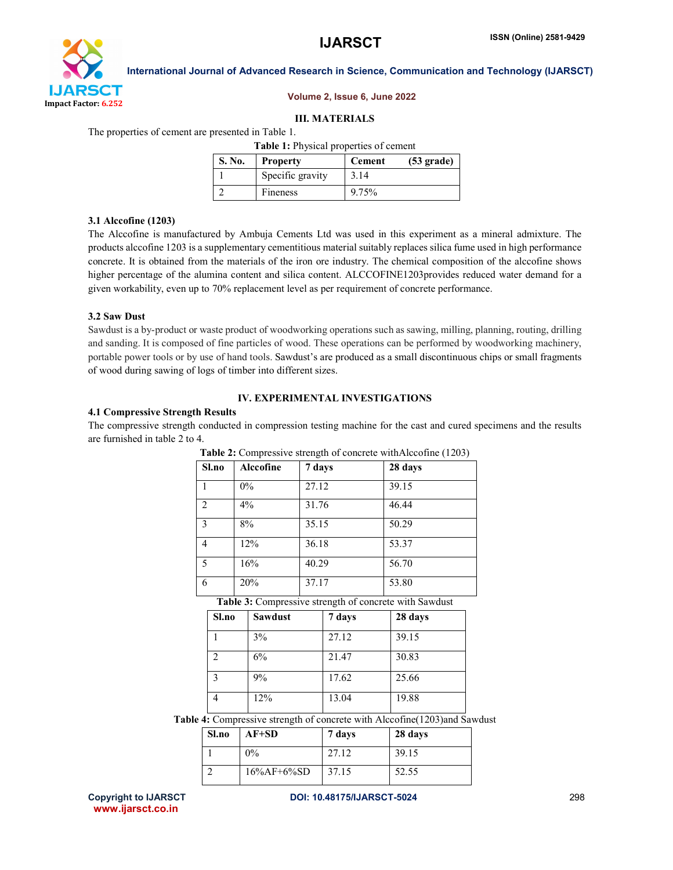

#### International Journal of Advanced Research in Science, Communication and Technology (IJARSCT)

#### Volume 2, Issue 6, June 2022

#### III. MATERIALS

The properties of cement are presented in Table 1.

Table 1: Physical properties of cement

| S. No. | <b>Property</b>  | <b>Cement</b> | $(53 \text{ grade})$ |
|--------|------------------|---------------|----------------------|
|        | Specific gravity | 3.14          |                      |
|        | Fineness         | 9.75%         |                      |

#### 3.1 Alccofine (1203)

The Alccofine is manufactured by Ambuja Cements Ltd was used in this experiment as a mineral admixture. The products alccofine 1203 is a supplementary cementitious material suitably replaces silica fume used in high performance concrete. It is obtained from the materials of the iron ore industry. The chemical composition of the alccofine shows higher percentage of the alumina content and silica content. ALCCOFINE1203provides reduced water demand for a given workability, even up to 70% replacement level as per requirement of concrete performance.

#### 3.2 Saw Dust

Sawdust is a by-product or waste product of woodworking operations such as sawing, milling, planning, routing, drilling and sanding. It is composed of fine particles of wood. These operations can be performed by woodworking machinery, portable power tools or by use of hand tools. Sawdust's are produced as a small discontinuous chips or small fragments of wood during sawing of logs of timber into different sizes.

### IV. EXPERIMENTAL INVESTIGATIONS

#### 4.1 Compressive Strength Results

The compressive strength conducted in compression testing machine for the cast and cured specimens and the results are furnished in table 2 to 4.

| Sl.no                                                  | Alccofine | 7 days | 28 days |
|--------------------------------------------------------|-----------|--------|---------|
|                                                        | $0\%$     | 27.12  | 39.15   |
| 2                                                      | $4\%$     | 31.76  | 46.44   |
| $\overline{\mathbf{3}}$                                | 8%        | 35.15  | 50.29   |
| $\overline{4}$                                         | 12%       | 36.18  | 53.37   |
| 5                                                      | 16%       | 40.29  | 56.70   |
| 6                                                      | 20%       | 37.17  | 53.80   |
| Table 3: Compressive strength of concrete with Sawdust |           |        |         |

| Table 2: Compressive strength of concrete with Alccofine (1203) |  |  |
|-----------------------------------------------------------------|--|--|
|                                                                 |  |  |

| Sl.no       | <b>Sawdust</b> | 7 days | 28 days |
|-------------|----------------|--------|---------|
|             | 3%             | 27.12  | 39.15   |
|             | 6%             | 21.47  | 30.83   |
| $\mathbf 2$ | 9%             | 17.62  | 25.66   |
|             | 12%            | 13.04  | 19.88   |

Table 4: Compressive strength of concrete with Alccofine(1203)and Sawdust

| Sl.no | $AF+SD$        | 7 days | 28 days |
|-------|----------------|--------|---------|
|       | $0\%$          | 27.12  | 39.15   |
|       | $16\%AF+6\%SD$ | 37.15  | 52.55   |

www.ijarsct.co.in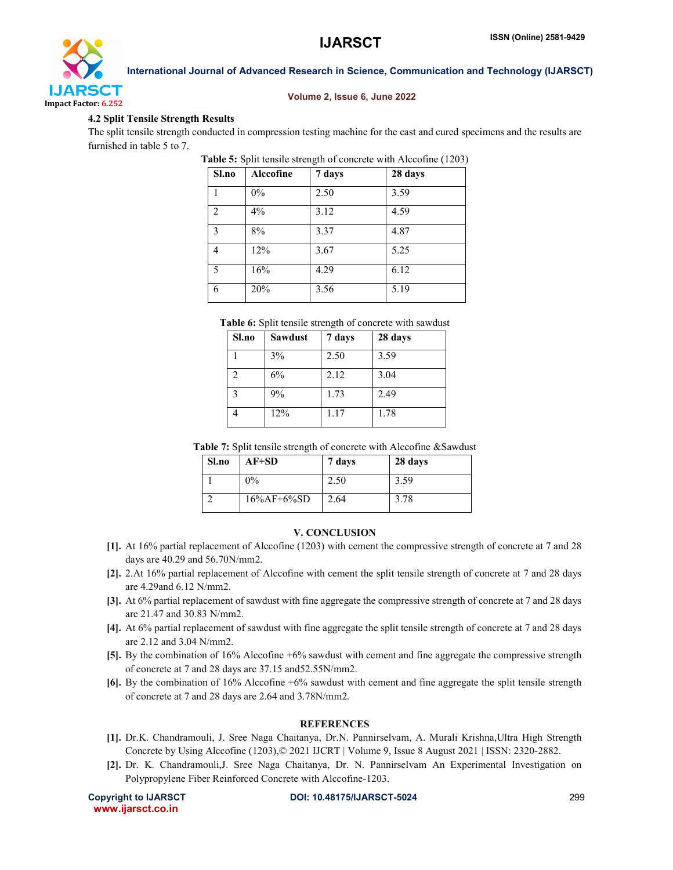

## Volume 2, Issue 6, June 2022

#### 4.2 Split Tensile Strength Results

The split tensile strength conducted in compression testing machine for the cast and cured specimens and the results are furnished in table 5 to 7.

Table 5: Split tensile strength of concrete with Alccofine (1203)

| Sl.no          | Alccofine | 7 days | 28 days |
|----------------|-----------|--------|---------|
|                | 0%        | 2.50   | 3.59    |
| $\mathfrak{D}$ | 4%        | 3.12   | 4.59    |
| 3              | 8%        | 3.37   | 4.87    |
| 4              | 12%       | 3.67   | 5.25    |
| 5              | 16%       | 4.29   | 6.12    |
| 6              | 20%       | 3.56   | 5.19    |

Table 6: Split tensile strength of concrete with sawdust

| Sl.no | <b>Sawdust</b> | 7 days | 28 days |
|-------|----------------|--------|---------|
|       | 3%             | 2.50   | 3.59    |
| 2     | 6%             | 2.12   | 3.04    |
| 3     | 9%             | 1.73   | 2.49    |
|       | 12%            | 1.17   | 1.78    |

Table 7: Split tensile strength of concrete with Alccofine &Sawdust

| Sl.no | $AF+SD$        | 7 days | 28 days |
|-------|----------------|--------|---------|
|       | $0\%$          | 2.50   | 3.59    |
|       | $16\%AF+6\%SD$ | 2.64   | 3.78    |

#### V. CONCLUSION

- [1]. At 16% partial replacement of Alccofine (1203) with cement the compressive strength of concrete at 7 and 28 days are 40.29 and 56.70N/mm2.
- [2]. 2.At 16% partial replacement of Alccofine with cement the split tensile strength of concrete at 7 and 28 days are 4.29and 6.12 N/mm2.
- [3]. At 6% partial replacement of sawdust with fine aggregate the compressive strength of concrete at 7 and 28 days are 21.47 and 30.83 N/mm2.
- [4]. At 6% partial replacement of sawdust with fine aggregate the split tensile strength of concrete at 7 and 28 days are 2.12 and 3.04 N/mm2.
- [5]. By the combination of 16% Alccofine +6% sawdust with cement and fine aggregate the compressive strength of concrete at 7 and 28 days are 37.15 and52.55N/mm2.
- [6]. By the combination of 16% Alccofine +6% sawdust with cement and fine aggregate the split tensile strength of concrete at 7 and 28 days are 2.64 and 3.78N/mm2.

#### **REFERENCES**

- [1]. Dr.K. Chandramouli, J. Sree Naga Chaitanya, Dr.N. Pannirselvam, A. Murali Krishna,Ultra High Strength Concrete by Using Alccofine (1203),© 2021 IJCRT | Volume 9, Issue 8 August 2021 | ISSN: 2320-2882.
- [2]. Dr. K. Chandramouli,J. Sree Naga Chaitanya, Dr. N. Pannirselvam An Experimental Investigation on Polypropylene Fiber Reinforced Concrete with Alccofine-1203.

www.ijarsct.co.in